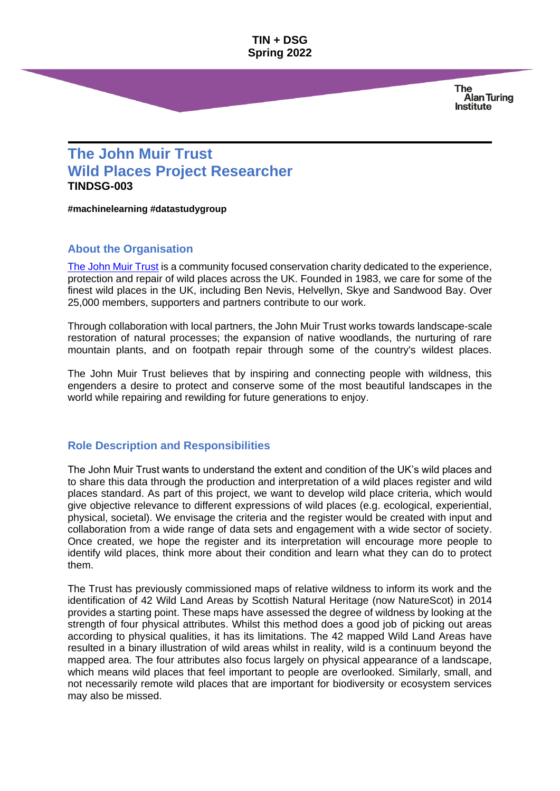**TIN + DSG Spring 2022**

> **The Alan Turing Institute**

# **The John Muir Trust Wild Places Project Researcher TINDSG-003**

**#machinelearning #datastudygroup**

## **About the Organisation**

[The John Muir Trust](https://www.johnmuirtrust.org/) is a community focused conservation charity dedicated to the experience, protection and repair of wild places across the UK. Founded in 1983, we care for some of the finest wild places in the UK, including Ben Nevis, Helvellyn, Skye and Sandwood Bay. Over 25,000 members, supporters and partners contribute to our work.

Through collaboration with local partners, the John Muir Trust works towards landscape-scale restoration of natural processes; the expansion of native woodlands, the nurturing of rare mountain plants, and on footpath repair through some of the country's wildest places.

The John Muir Trust believes that by inspiring and connecting people with wildness, this engenders a desire to protect and conserve some of the most beautiful landscapes in the world while repairing and rewilding for future generations to enjoy.

#### **Role Description and Responsibilities**

The John Muir Trust wants to understand the extent and condition of the UK's wild places and to share this data through the production and interpretation of a wild places register and wild places standard. As part of this project, we want to develop wild place criteria, which would give objective relevance to different expressions of wild places (e.g. ecological, experiential, physical, societal). We envisage the criteria and the register would be created with input and collaboration from a wide range of data sets and engagement with a wide sector of society. Once created, we hope the register and its interpretation will encourage more people to identify wild places, think more about their condition and learn what they can do to protect them.

The Trust has previously commissioned maps of relative wildness to inform its work and the identification of 42 Wild Land Areas by Scottish Natural Heritage (now NatureScot) in 2014 provides a starting point. These maps have assessed the degree of wildness by looking at the strength of four physical attributes. Whilst this method does a good job of picking out areas according to physical qualities, it has its limitations. The 42 mapped Wild Land Areas have resulted in a binary illustration of wild areas whilst in reality, wild is a continuum beyond the mapped area. The four attributes also focus largely on physical appearance of a landscape, which means wild places that feel important to people are overlooked. Similarly, small, and not necessarily remote wild places that are important for biodiversity or ecosystem services may also be missed.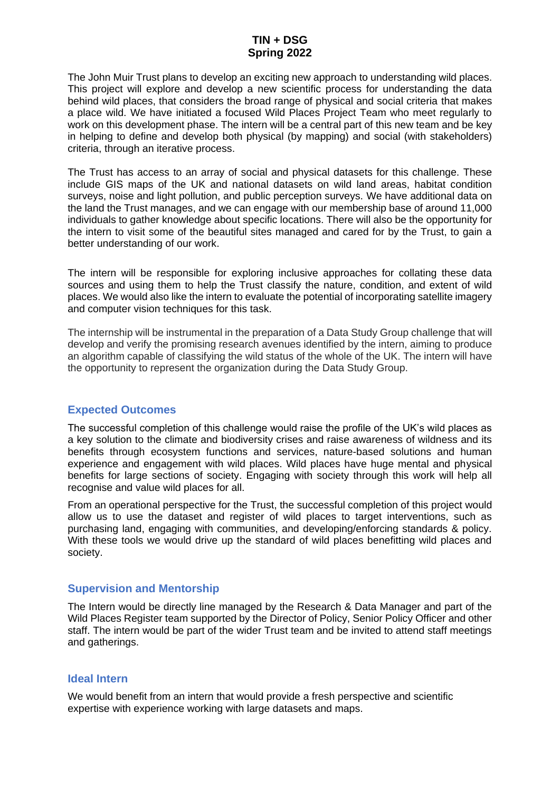## **TIN + DSG Spring 2022**

The John Muir Trust plans to develop an exciting new approach to understanding wild places. This project will explore and develop a new scientific process for understanding the data behind wild places, that considers the broad range of physical and social criteria that makes a place wild. We have initiated a focused Wild Places Project Team who meet regularly to work on this development phase. The intern will be a central part of this new team and be key in helping to define and develop both physical (by mapping) and social (with stakeholders) criteria, through an iterative process.

The Trust has access to an array of social and physical datasets for this challenge. These include GIS maps of the UK and national datasets on wild land areas, habitat condition surveys, noise and light pollution, and public perception surveys. We have additional data on the land the Trust manages, and we can engage with our membership base of around 11,000 individuals to gather knowledge about specific locations. There will also be the opportunity for the intern to visit some of the beautiful sites managed and cared for by the Trust, to gain a better understanding of our work.

The intern will be responsible for exploring inclusive approaches for collating these data sources and using them to help the Trust classify the nature, condition, and extent of wild places. We would also like the intern to evaluate the potential of incorporating satellite imagery and computer vision techniques for this task.

The internship will be instrumental in the preparation of a Data Study Group challenge that will develop and verify the promising research avenues identified by the intern, aiming to produce an algorithm capable of classifying the wild status of the whole of the UK. The intern will have the opportunity to represent the organization during the Data Study Group.

### **Expected Outcomes**

The successful completion of this challenge would raise the profile of the UK's wild places as a key solution to the climate and biodiversity crises and raise awareness of wildness and its benefits through ecosystem functions and services, nature-based solutions and human experience and engagement with wild places. Wild places have huge mental and physical benefits for large sections of society. Engaging with society through this work will help all recognise and value wild places for all.

From an operational perspective for the Trust, the successful completion of this project would allow us to use the dataset and register of wild places to target interventions, such as purchasing land, engaging with communities, and developing/enforcing standards & policy. With these tools we would drive up the standard of wild places benefitting wild places and society.

### **Supervision and Mentorship**

The Intern would be directly line managed by the Research & Data Manager and part of the Wild Places Register team supported by the Director of Policy, Senior Policy Officer and other staff. The intern would be part of the wider Trust team and be invited to attend staff meetings and gatherings.

### **Ideal Intern**

We would benefit from an intern that would provide a fresh perspective and scientific expertise with experience working with large datasets and maps.